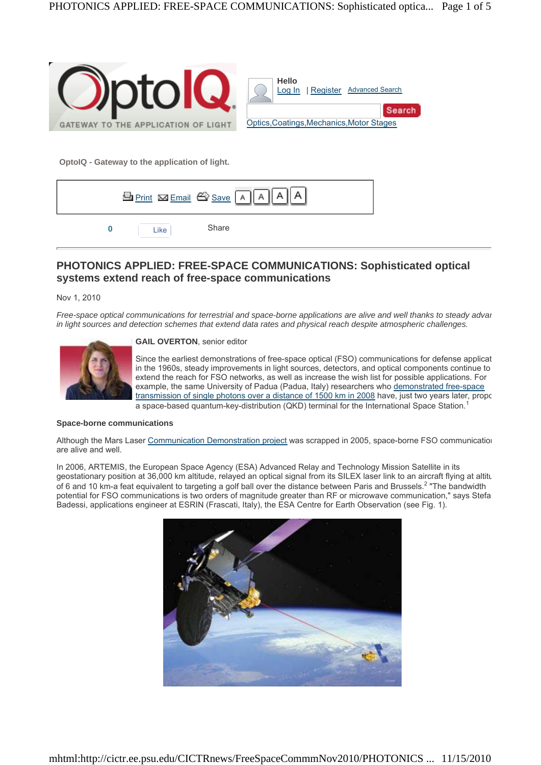

**OptoIQ - Gateway to the application of light.**

|      | <b>El</b> Print <b>Ex</b> Email <sup>2</sup> Save A A A |  |
|------|---------------------------------------------------------|--|
| Like | Share                                                   |  |

# **PHOTONICS APPLIED: FREE-SPACE COMMUNICATIONS: Sophisticated optical systems extend reach of free-space communications**

Nov 1, 2010

*Free-space optical communications for terrestrial and space-borne applications are alive and well thanks to steady advan in light sources and detection schemes that extend data rates and physical reach despite atmospheric challenges.*

**GAIL OVERTON**, senior editor



Since the earliest demonstrations of free-space optical (FSO) communications for defense applicat in the 1960s, steady improvements in light sources, detectors, and optical components continue to extend the reach for FSO networks, as well as increase the wish list for possible applications. For example, the same University of Padua (Padua, Italy) researchers who demonstrated free-space transmission of single photons over a distance of 1500 km in 2008 have, just two years later, propo a space-based quantum-key-distribution (QKD) terminal for the International Space Station.<sup>1</sup>

## **Space-borne communications**

Although the Mars Laser Communication Demonstration project was scrapped in 2005, space-borne FSO communication are alive and well.

In 2006, ARTEMIS, the European Space Agency (ESA) Advanced Relay and Technology Mission Satellite in its geostationary position at 36,000 km altitude, relayed an optical signal from its SILEX laser link to an aircraft flying at altitu of 6 and 10 km-a feat equivalent to targeting a golf ball over the distance between Paris and Brussels.<sup>2</sup> "The bandwidth potential for FSO communications is two orders of magnitude greater than RF or microwave communication," says Stefa Badessi, applications engineer at ESRIN (Frascati, Italy), the ESA Centre for Earth Observation (see Fig. 1).

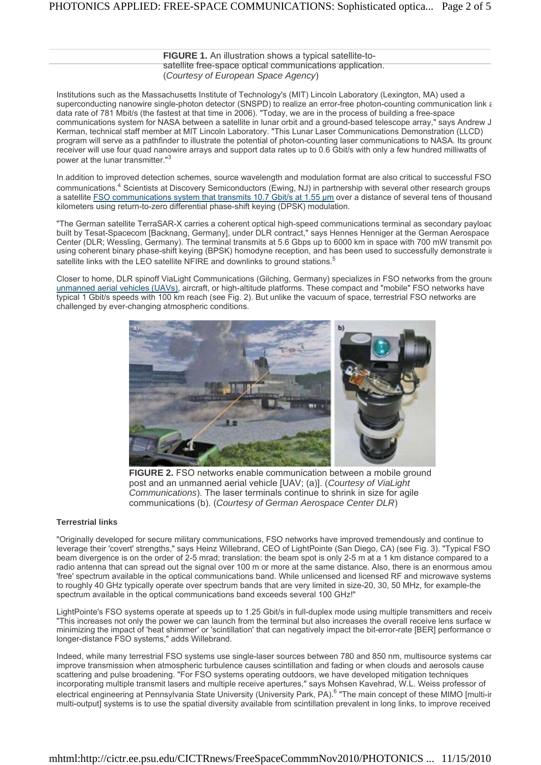**FIGURE 1.** An illustration shows a typical satellite-tosatellite free-space optical communications application. (*Courtesy of European Space Agency*)

Institutions such as the Massachusetts Institute of Technology's (MIT) Lincoln Laboratory (Lexington, MA) used a superconducting nanowire single-photon detector (SNSPD) to realize an error-free photon-counting communication link a data rate of 781 Mbit/s (the fastest at that time in 2006). "Today, we are in the process of building a free-space communications system for NASA between a satellite in lunar orbit and a ground-based telescope array," says Andrew J Kerman, technical staff member at MIT Lincoln Laboratory. "This Lunar Laser Communications Demonstration (LLCD) program will serve as a pathfinder to illustrate the potential of photon-counting laser communications to NASA. Its ground receiver will use four quad nanowire arrays and support data rates up to 0.6 Gbit/s with only a few hundred milliwatts of power at the lunar transmitter."3

In addition to improved detection schemes, source wavelength and modulation format are also critical to successful FSO communications.<sup>4</sup> Scientists at Discovery Semiconductors (Ewing, NJ) in partnership with several other research groups a satellite FSO communications system that transmits 10.7 Gbit/s at 1.55 um over a distance of several tens of thousand kilometers using return-to-zero differential phase-shift keying (DPSK) modulation.

"The German satellite TerraSAR-X carries a coherent optical high-speed communications terminal as secondary payloac built by Tesat-Spacecom [Backnang, Germany], under DLR contract," says Hennes Henniger at the German Aerospace Center (DLR; Wessling, Germany). The terminal transmits at 5.6 Gbps up to 6000 km in space with 700 mW transmit pow using coherent binary phase-shift keying (BPSK) homodyne reception, and has been used to successfully demonstrate in satellite links with the LEO satellite NFIRE and downlinks to ground stations.<sup>5</sup>

Closer to home, DLR spinoff ViaLight Communications (Gilching, Germany) specializes in FSO networks from the ground unmanned aerial vehicles (UAVs), aircraft, or high-altitude platforms. These compact and "mobile" FSO networks have typical 1 Gbit/s speeds with 100 km reach (see Fig. 2). But unlike the vacuum of space, terrestrial FSO networks are challenged by ever-changing atmospheric conditions.



**FIGURE 2.** FSO networks enable communication between a mobile ground post and an unmanned aerial vehicle [UAV; (a)]. (*Courtesy of ViaLight Communications*). The laser terminals continue to shrink in size for agile communications (b). (*Courtesy of German Aerospace Center DLR*)

### **Terrestrial links**

"Originally developed for secure military communications, FSO networks have improved tremendously and continue to leverage their 'covert' strengths," says Heinz Willebrand, CEO of LightPointe (San Diego, CA) (see Fig. 3). "Typical FSO beam divergence is on the order of 2-5 mrad; translation: the beam spot is only 2-5 m at a 1 km distance compared to a radio antenna that can spread out the signal over 100 m or more at the same distance. Also, there is an enormous amou 'free' spectrum available in the optical communications band. While unlicensed and licensed RF and microwave systems to roughly 40 GHz typically operate over spectrum bands that are very limited in size-20, 30, 50 MHz, for example-the spectrum available in the optical communications band exceeds several 100 GHz!"

LightPointe's FSO systems operate at speeds up to 1.25 Gbit/s in full-duplex mode using multiple transmitters and receiv "This increases not only the power we can launch from the terminal but also increases the overall receive lens surface w minimizing the impact of 'heat shimmer' or 'scintillation' that can negatively impact the bit-error-rate [BER] performance of longer-distance FSO systems," adds Willebrand.

Indeed, while many terrestrial FSO systems use single-laser sources between 780 and 850 nm, multisource systems can improve transmission when atmospheric turbulence causes scintillation and fading or when clouds and aerosols cause scattering and pulse broadening. "For FSO systems operating outdoors, we have developed mitigation techniques incorporating multiple transmit lasers and multiple receive apertures," says Mohsen Kavehrad, W.L. Weiss professor of electrical engineering at Pennsylvania State University (University Park, PA).<sup>6</sup> "The main concept of these MIMO [multi-ir multi-output] systems is to use the spatial diversity available from scintillation prevalent in long links, to improve received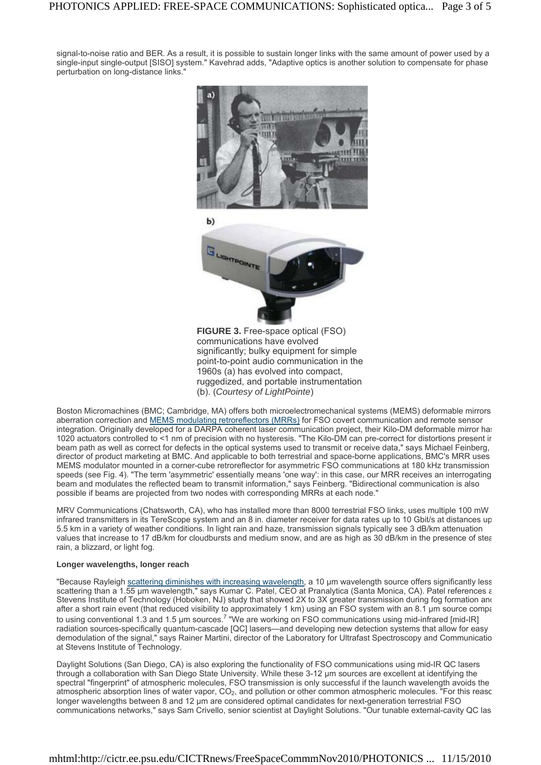signal-to-noise ratio and BER. As a result, it is possible to sustain longer links with the same amount of power used by a single-input single-output [SISO] system." Kavehrad adds, "Adaptive optics is another solution to compensate for phase perturbation on long-distance links."



**FIGURE 3.** Free-space optical (FSO) communications have evolved significantly; bulky equipment for simple point-to-point audio communication in the 1960s (a) has evolved into compact, ruggedized, and portable instrumentation (b). (*Courtesy of LightPointe*)

Boston Micromachines (BMC; Cambridge, MA) offers both microelectromechanical systems (MEMS) deformable mirrors aberration correction and MEMS modulating retroreflectors (MRRs) for FSO covert communication and remote sensor integration. Originally developed for a DARPA coherent laser communication project, their Kilo-DM deformable mirror has 1020 actuators controlled to <1 nm of precision with no hysteresis. "The Kilo-DM can pre-correct for distortions present in beam path as well as correct for defects in the optical systems used to transmit or receive data," says Michael Feinberg, director of product marketing at BMC. And applicable to both terrestrial and space-borne applications, BMC's MRR uses MEMS modulator mounted in a corner-cube retroreflector for asymmetric FSO communications at 180 kHz transmission speeds (see Fig. 4). "The term 'asymmetric' essentially means 'one way': in this case, our MRR receives an interrogating beam and modulates the reflected beam to transmit information," says Feinberg. "Bidirectional communication is also possible if beams are projected from two nodes with corresponding MRRs at each node."

MRV Communications (Chatsworth, CA), who has installed more than 8000 terrestrial FSO links, uses multiple 100 mW infrared transmitters in its TereScope system and an 8 in. diameter receiver for data rates up to 10 Gbit/s at distances up 5.5 km in a variety of weather conditions. In light rain and haze, transmission signals typically see 3 dB/km attenuation values that increase to 17 dB/km for cloudbursts and medium snow, and are as high as 30 dB/km in the presence of stea rain, a blizzard, or light fog.

### **Longer wavelengths, longer reach**

"Because Rayleigh scattering diminishes with increasing wavelength, a 10 μm wavelength source offers significantly less scattering than a 1.55 μm wavelength," says Kumar C. Patel, CEO at Pranalytica (Santa Monica, CA). Patel references ε Stevens Institute of Technology (Hoboken, NJ) study that showed 2X to 3X greater transmission during fog formation and after a short rain event (that reduced visibility to approximately 1 km) using an FSO system with an 8.1 μm source compared to using conventional 1.3 and 1.5 μm sources.<sup>7</sup> "We are working on FSO communications using mid-infrared [mid-IR] radiation sources-specifically quantum-cascade [QC] lasers—and developing new detection systems that allow for easy demodulation of the signal," says Rainer Martini, director of the Laboratory for Ultrafast Spectroscopy and Communicatio at Stevens Institute of Technology.

Daylight Solutions (San Diego, CA) is also exploring the functionality of FSO communications using mid-IR QC lasers through a collaboration with San Diego State University. While these 3-12 μm sources are excellent at identifying the spectral "fingerprint" of atmospheric molecules, FSO transmission is only successful if the launch wavelength avoids the atmospheric absorption lines of water vapor, CO<sub>2</sub>, and pollution or other common atmospheric molecules. "For this reasc longer wavelengths between 8 and 12 μm are considered optimal candidates for next-generation terrestrial FSO communications networks," says Sam Crivello, senior scientist at Daylight Solutions. "Our tunable external-cavity QC las